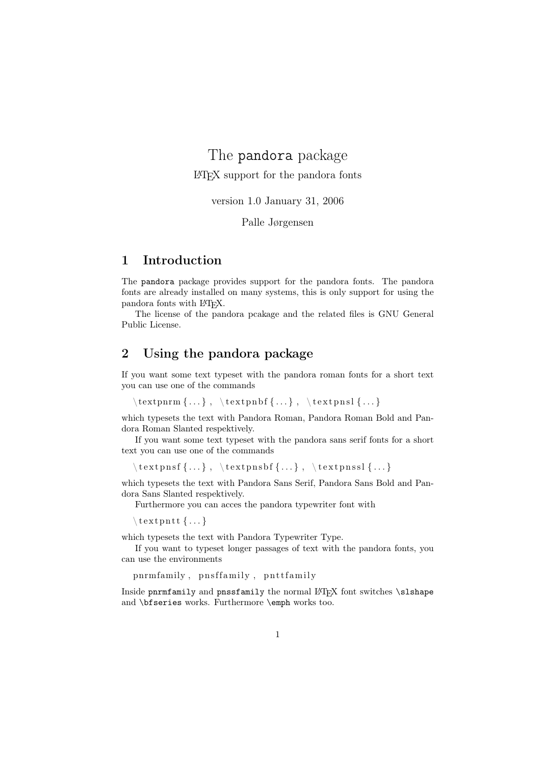# The pandora package LATEX support for the pandora fonts

version 1.0 January 31, 2006

Palle Jørgensen

## 1 Introduction

The pandora package provides support for the pandora fonts. The pandora fonts are already installed on many systems, this is only support for using the pandora fonts with LATEX.

The license of the pandora pcakage and the related files is GNU General Public License.

# 2 Using the pandora package

If you want some text typeset with the pandora roman fonts for a short text you can use one of the commands

```
\text{perm} \{ \ldots \}, \text{prm} \{ \ldots \}
```
which typesets the text with Pandora Roman, Pandora Roman Bold and Pandora Roman Slanted respektively.

If you want some text typeset with the pandora sans serif fonts for a short text you can use one of the commands

 $\text{length}\, \{\ldots\}$ ,  $\text{length}\, \{\ldots\}$ ,  $\text{length}\, \{\ldots\}$ 

which typesets the text with Pandora Sans Serif, Pandora Sans Bold and Pandora Sans Slanted respektively.

Furthermore you can acces the pandora typewriter font with

 $\setminus$  text p n t t  $\{ \dots \}$ 

which typesets the text with Pandora Typewriter Type.

If you want to typeset longer passages of text with the pandora fonts, you can use the environments

```
pnrm family, pnsffamily, pnttfamily
```
Inside pnrmfamily and pnssfamily the normal LATEX font switches \slshape and \bfseries works. Furthermore \emph works too.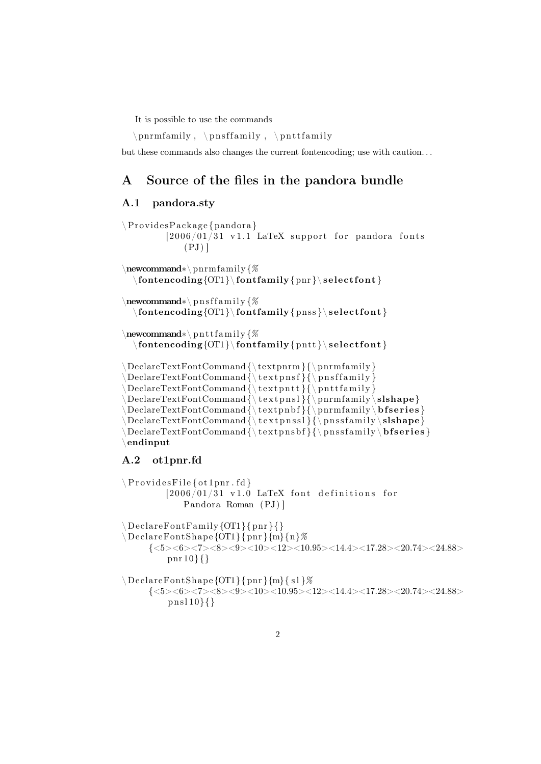It is possible to use the commands

\ pnrm family , \ p n s f f amil y , \ p n t t f amil y

but these commands also changes the current fontencoding; use with caution. . .

## A Source of the files in the pandora bundle

### A.1 pandora.sty

```
\P Provides Package { pandora }
         [2006/01/31 \text{ v}1.1 \text{ LaTeX support} for pandora fonts
            (PJ)\newcommand∗\ pnrm family {%
  \{fontencoding{OT1}\ \boldsymbol{\pm} \ {\text{pnr}}\ \ \ \ \ \ \ \ \ \\newcommand∗\ p n s f f amil y {%
  \otimes \{OT1\} \forall f \in \{pns\} \selectfont\}\newcommand∗\ p n t t f amil y {%
  \{ontencoding \{OT1\} \font{ s = 1 \} \ path{ s = 1 \}\Delta {\text{PermitCommal}} {\text{pnormal}} \\Delta {\text{Per}(\Delta {\bf \theta})}\Delta {\text{Vert}} \\DeclareTextFontCommand {\ t e x t p n s l }{\ pnrm family \ slshape}
\Delta {\ (pnrm family \ b f series }
\Delta {\\Delta \DeclareTextFontCommand { \textpnsbf } { \pnss family \bfseries }
\endinput
A.2 ot1pnr.fd
\P Provides File { ot 1 pnr . fd }
         [2006/01/31 \t v1.0 LaTeX font definitions for
            Pandora Roman (PJ) ]
\Delta DeclareFontFamily {OT1}{ pnr }{}
\setminus DeclareFontShape {OT1} { pnr } {m} {n}%
     {<} 5{><}6{><}7{><}8{>}{<}9{>}{<}10{>}{<}12{>}{<}10.95{>}{<}14.4{>}{<}17.28{>}{<}20.74{>}{<}24.88{>}pnr 10}{}
\D{Be}clareFontShape {OT1}{ pnr }{m}{ s l }%
     {<} 5 > <6 > <7 > <8 > <10 > <10.95 > <12 > <14.4 > <17.28 > <20.74 > <24.88 >pn sl 10}{}
```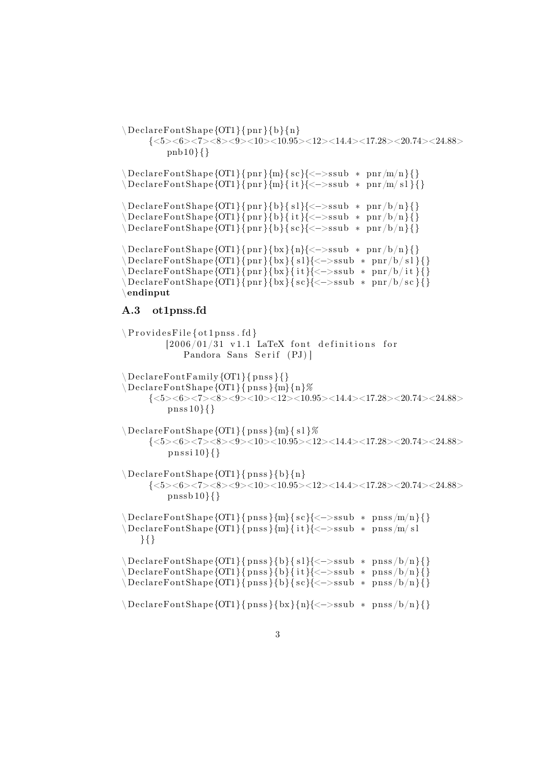```
\Delta DeclareFontShape {OT1}{pnr}{b}{n}
      {<} 5{><}6{><}7{><}8{>}{<}9{>}{<}10{>}{<}10.95{>}{<}12{>}{<}14.4{>}{<}17.28{>}{<}20.74{>}{<}24.88{>}pnb 10}{}
\Delta DeclareFontShape {OT1}{ pnr }{m}{ sc}{ <->ssub * pnr/m/n}{}
\Delta DeclareFontShape {OT1}{ pnr }{m}{ it }{ < - > ssub * pnr/m/ s l }{}
\ DeclareFontShape {OT1}{ pnr }{b}{ s l }{<−>s sub ∗ pnr /b/n}{}
\Delta DeclareFontShape {OT1}{ pnr }{b}{ it }{<->ssub * pnr /b/n}{}
\Delta DeclareFontShape {OT1}{ pnr}{b}{ sc}{<->ssub * pnr/b/n}{}
\ DeclareFontShape {OT1}{ pnr }{bx }{n}{<−>s sub ∗ pnr /b/n}{}
\ DeclareFontShape {OT1}{ pnr }{bx }{ s l }{<−>s sub ∗ pnr /b/ s l }{}
\ DeclareFontShape {OT1}{ pnr }{bx }{ i t }{<−>s sub ∗ pnr /b/ i t }{}
\Delta\text{Declarer}FontShape {OT1}{ pnr }{bx}{ sc}{<->ssub * pnr/b/sc}{}
\endinput
A.3 ot1pnss.fd
\P Provides File { ot 1 pnss . fd }
          [2006/01/31 \text{ v}1.1 \text{ LaTeX} font definitions for
               Pandora Sans Serif (PJ)]
\Delta DeclareFontFamily {OT1}{ pnss }{}
\setminus DeclareFontShape {OT1}{pnss}{m}{n}%
      {<} 5 > <6 > <7 > <8 > <10 > <10 > <12 > <10.95 > <14.4 > <17.28 > <20.74 > <24.88 >pnss 10}{}
\Delta DeclareFontShape {OT1}{ pnss } {m}{ s1}%
      \{<\!\!5\!\!><\!\!6\!\!><\!\!7\!\!><\!\!8\!\!><\!\!9\!\!><\!\!10\!\!><\!\!10.95\!\!><\!\!12\!\!><\!\!14.4\!\!><\!\!17.28\!\!><\!\!20.74\!\!><\!\!24.88\!\!>p n s si 10}{}
\DeltaPeclareFontShape {OT1}{ pnss }{b}{n}
      {<} 5 > <6 > <7 > <8 > <9 > <10 > <10.95 > <12 > <14.4 > <17.28 < <20.74 < 24.88 >pnssb 10}{}
\Delta\text{DeclarerFontShape}{OT1}{ pnss }{m}{ sc}{<->ssub * pnss /m/n}{}
\ DeclareFontShape {OT1}{ pn s s }{m}{ i t }{<−>s sub ∗ pn s s /m/ s l
    }{}
\Delta DeclareFontShape {OT1}{ pnss }{b}{ s1}{ <->ssub * pnss /b/n}{}
\Delta DeclareFontShape {OT1}{ pnss }{b}{ it }{<->ssub * pnss /b/n}{}
\Delta DeclareFontShape {OT1}{ pnss }{b}{ sc}{<->ssub * pnss /b/n}{}
\Delta \DeclareFontShape {OT1}{ pnss }{bx}{n}{<->ssub * pnss /b/n}{}
```